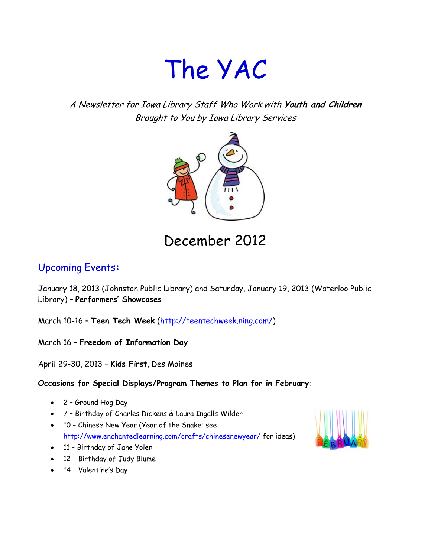# The YAC

A Newsletter for Iowa Library Staff Who Work with **Youth and Children** Brought to You by Iowa Library Services



## December 2012

### Upcoming Events**:**

January 18, 2013 (Johnston Public Library) and Saturday, January 19, 2013 (Waterloo Public Library) – **Performers' Showcases**

March 10-16 – **Teen Tech Week** [\(http://teentechweek.ning.com/\)](http://teentechweek.ning.com/)

March 16 – **Freedom of Information Day**

April 29-30, 2013 – **Kids First**, Des Moines

#### **Occasions for Special Displays/Program Themes to Plan for in February**:

- 2 Ground Hog Day
- 7 Birthday of Charles Dickens & Laura Ingalls Wilder
- 10 Chinese New Year (Year of the Snake; see <http://www.enchantedlearning.com/crafts/chinesenewyear/> for ideas)
- 11 Birthday of Jane Yolen
- 12 Birthday of Judy Blume
- 14 Valentine's Day

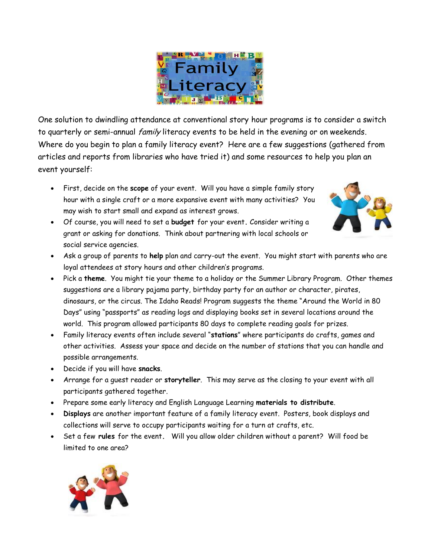

One solution to dwindling attendance at conventional story hour programs is to consider a switch to quarterly or semi-annual family literacy events to be held in the evening or on weekends. Where do you begin to plan a family literacy event? Here are a few suggestions (gathered from articles and reports from libraries who have tried it) and some resources to help you plan an event yourself:

 First, decide on the **scope** of your event. Will you have a simple family story hour with a single craft or a more expansive event with many activities? You may wish to start small and expand as interest grows.



- Of course, you will need to set a **budget** for your event**.** Consider writing a grant or asking for donations. Think about partnering with local schools or social service agencies.
- Ask a group of parents to **help** plan and carry-out the event. You might start with parents who are loyal attendees at story hours and other children's programs.
- Pick a **theme**. You might tie your theme to a holiday or the Summer Library Program. Other themes suggestions are a library pajama party, birthday party for an author or character, pirates, dinosaurs, or the circus. The Idaho Reads! Program suggests the theme "Around the World in 80 Days" using "passports" as reading logs and displaying books set in several locations around the world. This program allowed participants 80 days to complete reading goals for prizes.
- Family literacy events often include several "**stations**" where participants do crafts, games and other activities. Assess your space and decide on the number of stations that you can handle and possible arrangements.
- Decide if you will have **snacks**.
- Arrange for a guest reader or **storyteller**. This may serve as the closing to your event with all participants gathered together.
- Prepare some early literacy and English Language Learning **materials to distribute**.
- **Displays** are another important feature of a family literacy event. Posters, book displays and collections will serve to occupy participants waiting for a turn at crafts, etc.
- Set a few **rules** for the event**.** Will you allow older children without a parent? Will food be limited to one area?

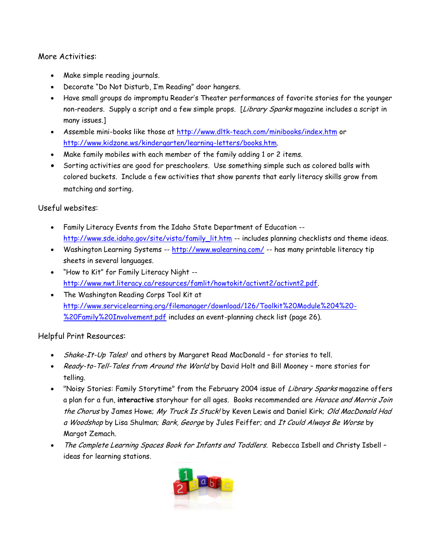#### More Activities:

- Make simple reading journals.
- Decorate "Do Not Disturb, I'm Reading" door hangers.
- Have small groups do impromptu Reader's Theater performances of favorite stories for the younger non-readers. Supply a script and a few simple props. [Library Sparks magazine includes a script in many issues.]
- Assemble mini-books like those at<http://www.dltk-teach.com/minibooks/index.htm> or [http://www.kidzone.ws/kindergarten/learning-letters/books.htm.](http://www.kidzone.ws/kindergarten/learning-letters/books.htm)
- Make family mobiles with each member of the family adding 1 or 2 items.
- Sorting activities are good for preschoolers. Use something simple such as colored balls with colored buckets. Include a few activities that show parents that early literacy skills grow from matching and sorting.

#### Useful websites:

- Family Literacy Events from the Idaho State Department of Education [http://www.sde.idaho.gov/site/vista/family\\_lit.htm](http://www.sde.idaho.gov/site/vista/family_lit.htm) -- includes planning checklists and theme ideas.
- Washington Learning Systems -- <http://www.walearning.com/> -- has many printable literacy tip sheets in several languages.
- "How to Kit" for Family Literacy Night [http://www.nwt.literacy.ca/resources/famlit/howtokit/activnt2/activnt2.pdf.](http://www.nwt.literacy.ca/resources/famlit/howtokit/activnt2/activnt2.pdf)
- The Washington Reading Corps Tool Kit at [http://www.servicelearning.org/filemanager/download/126/Toolkit%20Module%204%20-](http://www.servicelearning.org/filemanager/download/126/Toolkit%20Module%204%20-%20Family%20Involvement.pdf) [%20Family%20Involvement.pdf](http://www.servicelearning.org/filemanager/download/126/Toolkit%20Module%204%20-%20Family%20Involvement.pdf) includes an event-planning check list (page 26).

#### Helpful Print Resources:

- Shake-It-Up Tales! and others by Margaret Read MacDonald for stories to tell.
- Ready-to-Tell-Tales from Around the World by David Holt and Bill Mooney more stories for telling.
- . "Noisy Stories: Family Storytime" from the February 2004 issue of Library Sparks magazine offers a plan for a fun, **interactive** storyhour for all ages. Books recommended are Horace and Morris Join the Chorus by James Howe; My Truck Is Stuck! by Keven Lewis and Daniel Kirk; Old MacDonald Had a Woodshop by Lisa Shulman; Bark, George by Jules Feiffer; and It Could Always Be Worse by Margot Zemach.
- The Complete Learning Spaces Book for Infants and Toddlers. Rebecca Isbell and Christy Isbell ideas for learning stations.

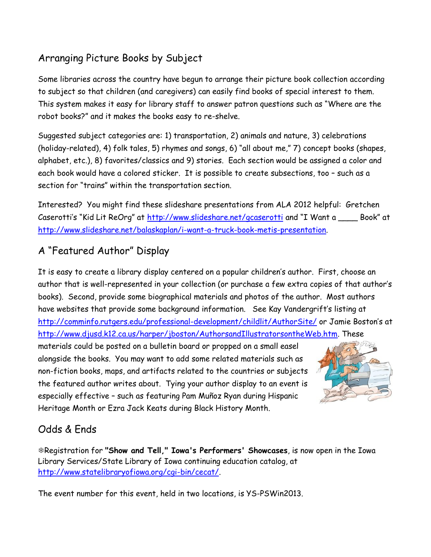## Arranging Picture Books by Subject

Some libraries across the country have begun to arrange their picture book collection according to subject so that children (and caregivers) can easily find books of special interest to them. This system makes it easy for library staff to answer patron questions such as "Where are the robot books?" and it makes the books easy to re-shelve.

Suggested subject categories are: 1) transportation, 2) animals and nature, 3) celebrations (holiday-related), 4) folk tales, 5) rhymes and songs, 6) "all about me," 7) concept books (shapes, alphabet, etc.), 8) favorites/classics and 9) stories. Each section would be assigned a color and each book would have a colored sticker. It is possible to create subsections, too – such as a section for "trains" within the transportation section.

Interested? You might find these slideshare presentations from ALA 2012 helpful: Gretchen Caserotti's "Kid Lit ReOrg" at <http://www.slideshare.net/gcaserotti> and "I Want a \_\_\_\_ Book" at [http://www.slideshare.net/balaskaplan/i-want-a-truck-book-metis-presentation.](http://www.slideshare.net/balaskaplan/i-want-a-truck-book-metis-presentation)

## A "Featured Author" Display

It is easy to create a library display centered on a popular children's author. First, choose an author that is well-represented in your collection (or purchase a few extra copies of that author's books). Second, provide some biographical materials and photos of the author. Most authors have websites that provide some background information. See Kay Vandergrift's listing at <http://comminfo.rutgers.edu/professional-development/childlit/AuthorSite/> or Jamie Boston's at [http://www.djusd.k12.ca.us/harper/jboston/AuthorsandIllustratorsontheWeb.htm.](http://www.djusd.k12.ca.us/harper/jboston/AuthorsandIllustratorsontheWeb.htm) These

materials could be posted on a bulletin board or propped on a small easel alongside the books. You may want to add some related materials such as non-fiction books, maps, and artifacts related to the countries or subjects the featured author writes about. Tying your author display to an event is especially effective – such as featuring Pam Muñoz Ryan during Hispanic Heritage Month or Ezra Jack Keats during Black History Month.



## Odds & Ends

Registration for **"Show and Tell," Iowa's Performers' Showcases**, is now open in the Iowa Library Services/State Library of Iowa continuing education catalog, at [http://www.statelibraryofiowa.org/cgi-bin/cecat/.](http://www.statelibraryofiowa.org/cgi-bin/cecat/)

The event number for this event, held in two locations, is YS-PSWin2013.